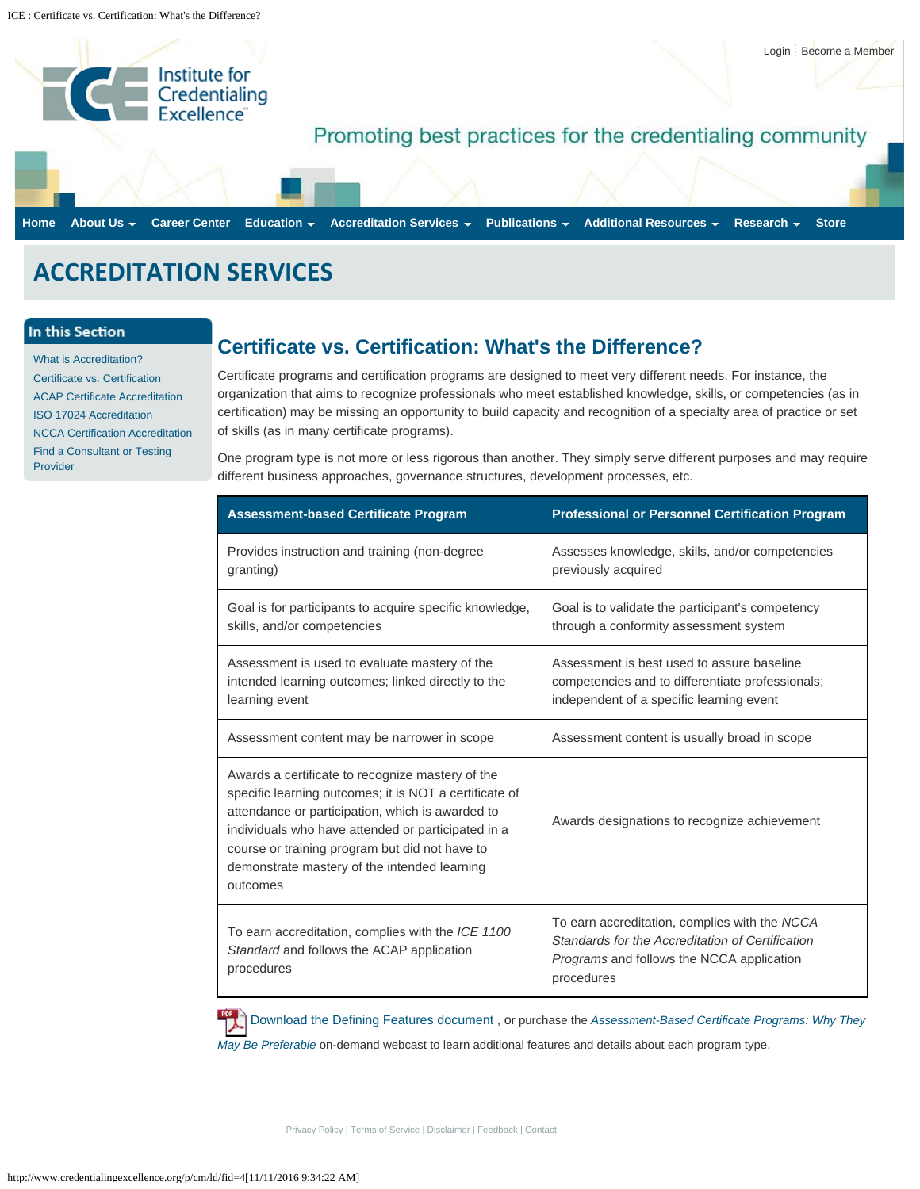<span id="page-0-0"></span>

## **ACCREDITATION SERVICES**

## In this Section

[What is Accreditation?](http://www.credentialingexcellence.org/p/cm/ld/fid=81) [Certificate vs. Certification](#page-0-0) [ACAP Certificate Accreditation](http://www.credentialingexcellence.org/p/cm/ld/fid=96) [ISO 17024 Accreditation](http://www.credentialingexcellence.org/p/cm/ld/fid=435) [NCCA Certification Accreditation](http://www.credentialingexcellence.org/p/cm/ld/fid=86) [Find a Consultant or Testing](http://www.credentialingexcellence.org/p/cm/ld/fid=122) [Provider](http://www.credentialingexcellence.org/p/cm/ld/fid=122)

## **Certificate vs. Certification: What's the Difference?**

Certificate programs and certification programs are designed to meet very different needs. For instance, the organization that aims to recognize professionals who meet established knowledge, skills, or competencies (as in certification) may be missing an opportunity to build capacity and recognition of a specialty area of practice or set of skills (as in many certificate programs).

One program type is not more or less rigorous than another. They simply serve different purposes and may require different business approaches, governance structures, development processes, etc.

| <b>Assessment-based Certificate Program</b>                                                                                                                                                                                                                                                                                        | <b>Professional or Personnel Certification Program</b>                                                                                                              |
|------------------------------------------------------------------------------------------------------------------------------------------------------------------------------------------------------------------------------------------------------------------------------------------------------------------------------------|---------------------------------------------------------------------------------------------------------------------------------------------------------------------|
| Provides instruction and training (non-degree<br>granting)                                                                                                                                                                                                                                                                         | Assesses knowledge, skills, and/or competencies<br>previously acquired                                                                                              |
| Goal is for participants to acquire specific knowledge,<br>skills, and/or competencies                                                                                                                                                                                                                                             | Goal is to validate the participant's competency<br>through a conformity assessment system                                                                          |
| Assessment is used to evaluate mastery of the<br>intended learning outcomes; linked directly to the<br>learning event                                                                                                                                                                                                              | Assessment is best used to assure baseline<br>competencies and to differentiate professionals;<br>independent of a specific learning event                          |
| Assessment content may be narrower in scope                                                                                                                                                                                                                                                                                        | Assessment content is usually broad in scope                                                                                                                        |
| Awards a certificate to recognize mastery of the<br>specific learning outcomes; it is NOT a certificate of<br>attendance or participation, which is awarded to<br>individuals who have attended or participated in a<br>course or training program but did not have to<br>demonstrate mastery of the intended learning<br>outcomes | Awards designations to recognize achievement                                                                                                                        |
| To earn accreditation, complies with the ICE 1100<br>Standard and follows the ACAP application<br>procedures                                                                                                                                                                                                                       | To earn accreditation, complies with the NCCA<br>Standards for the Accreditation of Certification<br><i>Programs</i> and follows the NCCA application<br>procedures |

[Download the Defining Features document](http://www.credentialingexcellence.org/d/do/71) , or purchase the *[Assessment-Based Certificate Programs: Why They](http://www.credentialingexcellence.org/p/cm/ld/fid=303) [May Be Preferable](http://www.credentialingexcellence.org/p/cm/ld/fid=303)* on-demand webcast to learn additional features and details about each program type.

[Privacy Policy](http://www.credentialingexcellence.org/p/cm/ld/fid=142) | [Terms of Service](http://www.credentialingexcellence.org/p/cm/ld/fid=2) | [Disclaimer](http://www.credentialingexcellence.org/p/cm/ld/fid=143) | [Feedback](http://www.credentialingexcellence.org/p/cm/ld/fid=26) | [Contact](http://www.credentialingexcellence.org/p/cm/ld/fid=26)